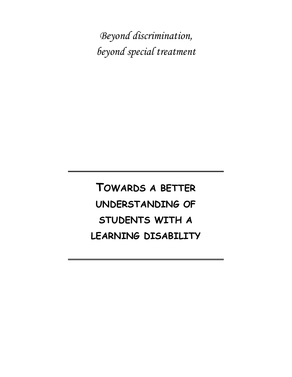*Beyond discrimination, beyond special treatment*

**TOWARDS A BETTER UNDERSTANDING OF STUDENTS WITH A LEARNING DISABILITY**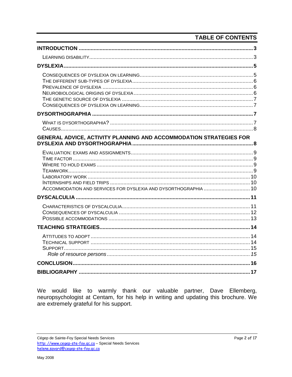# **TABLE OF CONTENTS**

| GENERAL ADVICE, ACTIVITY PLANNING AND ACCOMMODATION STRATEGIES FOR |  |
|--------------------------------------------------------------------|--|
| ACCOMMODATION AND SERVICES FOR DYSLEXIA AND DYSORTHOGRAPHIA  10    |  |
|                                                                    |  |
|                                                                    |  |
|                                                                    |  |
|                                                                    |  |
|                                                                    |  |
|                                                                    |  |

We would like to warmly thank our valuable partner, Dave Ellemberg, neuropsychologist at Centam, for his help in writing and updating this brochure. We are extremely grateful for his support.

Cégep de Sainte-Foy Special Needs Services http://www.cegep-ste-foy.qc.ca - Special Needs Services helene.savard@cegep-ste-foy.qc.ca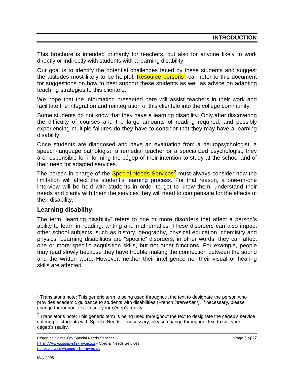<span id="page-2-0"></span>This brochure is intended primarily for teachers, but also for anyone likely to work directly or indirectly with students with a learning disability.

Our goal is to identify the potential challenges faced by these students and suggest the attitudes most likely to be helpful. Resource persons<sup>[1](#page-2-2)</sup> can refer to this document for suggestions on how to best support these students as well as advice on adapting teaching strategies to this clientele.

We hope that the information presented here will assist teachers in their work and facilitate the integration and reintegration of this clientele into the college community.

Some students do not know that they have a learning disability. Only after discovering the difficulty of courses and the large amounts of reading required, and possibly experiencing multiple failures do they have to consider that they may have a learning disability.

Once students are diagnosed and have an evaluation from a neuropsychologist, a speech-language pathologist, a remedial teacher or a specialized psychologist, they are responsible for informing the cégep of their intention to study at the school and of their need for adapted services.

The person in charge of the **Special Needs Services<sup>[2](#page-2-3)</sup>** must always consider how the limitation will affect the student's learning process. For that reason, a one-on-one interview will be held with students in order to get to know them, understand their needs and clarify with them the services they will need to compensate for the effects of their disability.

#### <span id="page-2-1"></span>**Learning disability**

The term "learning disability" refers to one or more disorders that affect a person's ability to learn in reading, writing and mathematics. These disorders can also impact other school subjects, such as history, geography, physical education, chemistry and physics. Learning disabilities are "specific" disorders, in other words, they can affect one or more specific acquisition skills, but not other functions. For example, people may read slowly because they have trouble making the connection between the sound and the written word. However, neither their intelligence nor their visual or hearing skills are affected.

 $\overline{a}$ 

<span id="page-2-2"></span> $<sup>1</sup>$  Translator's note: This generic term is being used throughout the text to designate the person who</sup> provides academic guidance to students with disabilities (French *intervenant*). If necessary, please change throughout text to suit your cégep's reality.

<span id="page-2-3"></span> $2$  Translator's note: This generic term is being used throughout the text to designate the cégep's service catering to students with Special Needs. If necessary, please change throughout text to suit your cégep's reality.

Cégep de Sainte-Foy Special Needs Services **Page 3 of 17** and 2011 12 and 2012 12 and 2012 12 and 2012 12 and 201 [http: //www.cegep-ste-foy.qc.ca](http://www.cegep-ste-foy.qc.ca/) – Special Needs Services [helene.savard@cegep-ste-foy.qc.ca](mailto:hsavard@cegep-ste-foy.qclca)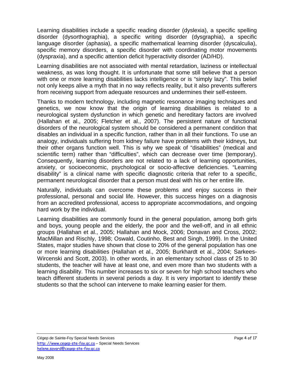Learning disabilities include a specific reading disorder (dyslexia), a specific spelling disorder (dysorthographia), a specific writing disorder (dysgraphia), a specific language disorder (aphasia), a specific mathematical learning disorder (dyscalculia), specific memory disorders, a specific disorder with coordinating motor movements (dyspraxia), and a specific attention deficit hyperactivity disorder (AD/HD).

Learning disabilities are not associated with mental retardation, laziness or intellectual weakness, as was long thought. It is unfortunate that some still believe that a person with one or more learning disabilities lacks intelligence or is "simply lazy". This belief not only keeps alive a myth that in no way reflects reality, but it also prevents sufferers from receiving support from adequate resources and undermines their self-esteem.

Thanks to modern technology, including magnetic resonance imaging techniques and genetics, we now know that the origin of learning disabilities is related to a neurological system dysfunction in which genetic and hereditary factors are involved (Hallahan et al., 2005; Fletcher et al., 2007). The persistent nature of functional disorders of the neurological system should be considered a permanent condition that disables an individual in a specific function, rather than in all their functions. To use an analogy, individuals suffering from kidney failure have problems with their kidneys, but their other organs function well. This is why we speak of "disabilities" (medical and scientific term) rather than "difficulties", which can decrease over time (temporary). Consequently, learning disorders are not related to a lack of learning opportunities, anxiety, or socioeconomic, psychological or socio-affective deficiencies. "Learning disability" is a clinical name with specific diagnostic criteria that refer to a specific, permanent neurological disorder that a person must deal with his or her entire life.

Naturally, individuals can overcome these problems and enjoy success in their professional, personal and social life. However, this success hinges on a diagnosis from an accredited professional, access to appropriate accommodations, and ongoing hard work by the individual.

Learning disabilities are commonly found in the general population, among both girls and boys, young people and the elderly, the poor and the well-off, and in all ethnic groups (Hallahan et al., 2005; Hallahan and Mock, 2006; Donavan and Cross, 2002; MacMillan and Rischly, 1998; Oswald, Coutinho, Best and Singh, 1999). In the United States, major studies have shown that close to 20% of the general population has one or more learning disabilities (Hallahan et al., 2005; Burkhardt et al., 2004; Sarkees-Wircenski and Scott, 2003). In other words, in an elementary school class of 25 to 30 students, the teacher will have at least one, and even more than two students with a learning disability. This number increases to six or seven for high school teachers who teach different students in several periods a day. It is very important to identify these students so that the school can intervene to make learning easier for them.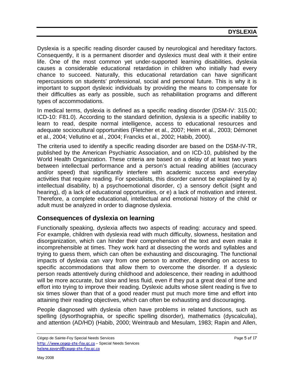<span id="page-4-0"></span>Dyslexia is a specific reading disorder caused by neurological and hereditary factors. Consequently, it is a permanent disorder and dyslexics must deal with it their entire life. One of the most common yet under-supported learning disabilities, dyslexia causes a considerable educational retardation in children who initially had every chance to succeed. Naturally, this educational retardation can have significant repercussions on students' professional, social and personal future. This is why it is important to support dyslexic individuals by providing the means to compensate for their difficulties as early as possible, such as rehabilitation programs and different types of accommodations.

In medical terms, dyslexia is defined as a specific reading disorder (DSM-IV: 315.00; ICD-10: F81.0). According to the standard definition, dyslexia is a specific inability to learn to read, despite normal intelligence, access to educational resources and adequate sociocultural opportunities (Fletcher et al., 2007; Heim et al., 2003; Démonet et al., 2004; Vellutino et al., 2004; Francks et al., 2002; Habib, 2000).

The criteria used to identify a specific reading disorder are based on the DSM-IV-TR, published by the American Psychiatric Association, and on ICD-10, published by the World Health Organization. These criteria are based on a delay of at least two years between intellectual performance and a person's actual reading abilities (accuracy and/or speed) that significantly interfere with academic success and everyday activities that require reading. For specialists, this disorder cannot be explained by a) intellectual disability, b) a psychoemotional disorder, c) a sensory deficit (sight and hearing), d) a lack of educational opportunities, or e) a lack of motivation and interest. Therefore, a complete educational, intellectual and emotional history of the child or adult must be analyzed in order to diagnose dyslexia.

# <span id="page-4-1"></span>**Consequences of dyslexia on learning**

Functionally speaking, dyslexia affects two aspects of reading: accuracy and speed. For example, children with dyslexia read with much difficulty, slowness, hesitation and disorganization, which can hinder their comprehension of the text and even make it incomprehensible at times. They work hard at dissecting the words and syllables and trying to guess them, which can often be exhausting and discouraging. The functional impacts of dyslexia can vary from one person to another, depending on access to specific accommodations that allow them to overcome the disorder. If a dyslexic person reads attentively during childhood and adolescence, their reading in adulthood will be more accurate, but slow and less fluid, even if they put a great deal of time and effort into trying to improve their reading. Dyslexic adults whose silent reading is five to six times slower than that of a good reader must put much more time and effort into attaining their reading objectives, which can often be exhausting and discouraging.

People diagnosed with dyslexia often have problems in related functions, such as spelling (dysorthographia, or specific spelling disorder), mathematics (dyscalculia), and attention (AD/HD) (Habib, 2000; Weintraub and Mesulam, 1983; Rapin and Allen,

Cégep de Sainte-Foy Special Needs Services **Page 19** of 17 [http: //www.cegep-ste-foy.qc.ca](http://www.cegep-ste-foy.qc.ca/) – Special Needs Services [helene.savard@cegep-ste-foy.qc.ca](mailto:hsavard@cegep-ste-foy.qclca)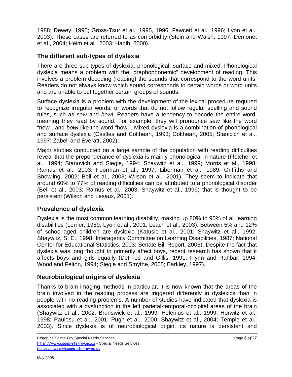1988; Dewey, 1995; Gross-Tsur et al., 1995, 1996; Fawcett et al., 1996; Lyon et al., 2003). These cases are referred to as comorbidity (Stein and Walsh, 1997; Démonet et al., 2004; Heim et al., 2003; Habib, 2000).

## <span id="page-5-0"></span>**The different sub-types of dyslexia**

There are three sub-types of dyslexia: phonological, surface and mixed. Phonological dyslexia means a problem with the "graphophonemic" development of reading. This involves a problem decoding (reading) the sounds that correspond to the word units. Readers do not always know which sound corresponds to certain words or word units and are unable to put together certain groups of sounds.

Surface dyslexia is a problem with the development of the lexical procedure required to recognize irregular words, or words that do not follow regular spelling and sound rules, such as *sew* and *bowl*. Readers have a tendency to decode the entire word, meaning they read by sound. For example, they will pronounce *sew* like the word "new", and *bowl* like the word "howl". Mixed dyslexia is a combination of phonological and surface dyslexia (Castles and Coltheart, 1993; Coltheart, 2005; Stanicich et al., 1997; Zabell and Everatt, 2002).

Major studies conducted on a large sample of the population with reading difficulties reveal that the preponderance of dyslexia is mainly phonological in nature (Fletcher et al., 1994; Stanovich and Siegle, 1994; Shaywitz et al., 1999; Morris et al., 1998; Ramus et al., 2003; Foorman et al., 1997; Liberman et al., 1989; Griffiths and Snowling, 2002; Bell et al., 2003; Wilson et al., 2001). They seem to indicate that around 60% to 77% of reading difficulties can be attributed to a phonological disorder (Bell et al., 2003; Ramus et al., 2003; Shaywitz et al., 1999) that is thought to be persistent (Wilson and Lesaux, 2001).

## <span id="page-5-1"></span>**Prevalence of dyslexia**

Dyslexia is the most common learning disability, making up 80% to 90% of all learning disabilities (Lerner, 1989; Lyon et al., 2001; Leach et al., 2003). Between 5% and 12% of school-aged children are dyslexic (Katusic et al., 2001; Shaywitz et al., 1992; Shaywitz, S. E., 1998; Interagency Committee on Learning Disabilities, 1987; National Center for Educational Statistics, 2003; Senate Bill Report, 2005). Despite the fact that dyslexia was long thought to primarily affect boys, recent research has shown that it affects boys and girls equally (DeFries and Gillis, 1991; Flynn and Rahbar, 1994; Wood and Felton, 1994; Siegle and Smythe, 2005; Barkley, 1997).

## <span id="page-5-2"></span>**Neurobiological origins of dyslexia**

Thanks to brain imaging methods in particular, it is now known that the areas of the brain involved in the reading process are triggered differently in dyslexics than in people with no reading problems. A number of studies have indicated that dyslexia is associated with a dysfunction in the left parietal-temporal-occipital areas of the brain (Shaywitz et al., 2002; Brunswick et al., 1999; Helenius et al., 1999; Horwitz et al., 1998; Paulesu et al., 2001; Pugh et al., 2000; Shaywitz et al., 2004; Temple et al., 2003). Since dyslexia is of neurobiological origin, its nature is persistent and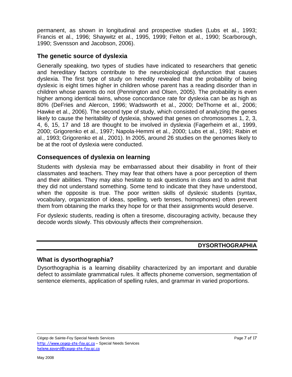permanent, as shown in longitudinal and prospective studies (Lubs et al., 1993; Francis et al., 1996; Shaywitz et al., 1995, 1999; Felton et al., 1990; Scarborough, 1990; Svensson and Jacobson, 2006).

## <span id="page-6-0"></span>**The genetic source of dyslexia**

Generally speaking, two types of studies have indicated to researchers that genetic and hereditary factors contribute to the neurobiological dysfunction that causes dyslexia. The first type of study on heredity revealed that the probability of being dyslexic is eight times higher in children whose parent has a reading disorder than in children whose parents do not (Pennington and Olsen, 2005). The probability is even higher among identical twins, whose concordance rate for dyslexia can be as high as 80% (DeFries and Alercon, 1996; Wadsworth et al., 2000; DeThorne et al., 2006; Hawke et al., 2006). The second type of study, which consisted of analyzing the genes likely to cause the heritability of dyslexia, showed that genes on chromosomes 1, 2, 3, 4, 6, 15, 17 and 18 are thought to be involved in dyslexia (Fagerheim et al., 1999, 2000; Grigorenko et al., 1997; Napola-Hemmi et al., 2000; Lubs et al., 1991; Rabin et al., 1993; Grigorenko et al., 2001). In 2005, around 26 studies on the genomes likely to be at the root of dyslexia were conducted.

## <span id="page-6-1"></span>**Consequences of dyslexia on learning**

Students with dyslexia may be embarrassed about their disability in front of their classmates and teachers. They may fear that others have a poor perception of them and their abilities. They may also hesitate to ask questions in class and to admit that they did not understand something. Some tend to indicate that they have understood, when the opposite is true. The poor written skills of dyslexic students (syntax, vocabulary, organization of ideas, spelling, verb tenses, homophones) often prevent them from obtaining the marks they hope for or that their assignments would deserve.

For dyslexic students, reading is often a tiresome, discouraging activity, because they decode words slowly. This obviously affects their comprehension.

## **DYSORTHOGRAPHIA**

## <span id="page-6-3"></span><span id="page-6-2"></span>**What is dysorthographia?**

Dysorthographia is a learning disability characterized by an important and durable defect to assimilate grammatical rules. It affects phoneme conversion, segmentation of sentence elements, application of spelling rules, and grammar in varied proportions.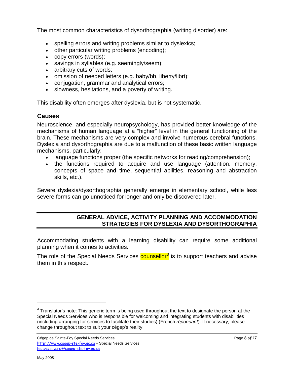The most common characteristics of dysorthographia (writing disorder) are:

- spelling errors and writing problems similar to dyslexics;
- other particular writing problems (encoding);
- copy errors (words);
- savings in syllables (e.g. seemingly/seem);
- arbitrary cuts of words;
- omission of needed letters (e.g. baby/bb, liberty/librt);
- conjugation, grammar and analytical errors;
- slowness, hesitations, and a poverty of writing.

This disability often emerges after dyslexia, but is not systematic.

## <span id="page-7-0"></span>**Causes**

Neuroscience, and especially neuropsychology, has provided better knowledge of the mechanisms of human language at a "higher" level in the general functioning of the brain. These mechanisms are very complex and involve numerous cerebral functions. Dyslexia and dysorthographia are due to a malfunction of these basic written language mechanisms, particularly:

- language functions proper (the specific networks for reading/comprehension);
- the functions required to acquire and use language (attention, memory, concepts of space and time, sequential abilities, reasoning and abstraction skills, etc.).

<span id="page-7-1"></span>Severe dyslexia/dysorthographia generally emerge in elementary school, while less severe forms can go unnoticed for longer and only be discovered later.

## **GENERAL ADVICE, ACTIVITY PLANNING AND ACCOMMODATION STRATEGIES FOR DYSLEXIA AND DYSORTHOGRAPHIA**

Accommodating students with a learning disability can require some additional planning when it comes to activities.

The role of the Special Needs Services counsellor<sup>[3](#page-7-2)</sup> is to support teachers and advise them in this respect.

-

<span id="page-7-2"></span> $3$  Translator's note: This generic term is being used throughout the text to designate the person at the Special Needs Services who is responsible for welcoming and integrating students with disabilities (including arranging for services to facilitate their studies) (French *répondant*). If necessary, please change throughout text to suit your cégep's reality.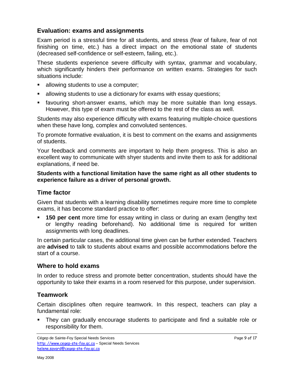## <span id="page-8-0"></span>**Evaluation: exams and assignments**

Exam period is a stressful time for all students, and stress (fear of failure, fear of not finishing on time, etc.) has a direct impact on the emotional state of students (decreased self-confidence or self-esteem, failing, etc.).

These students experience severe difficulty with syntax, grammar and vocabulary, which significantly hinders their performance on written exams. Strategies for such situations include:

- allowing students to use a computer;
- allowing students to use a dictionary for exams with essay questions;
- favouring short-answer exams, which may be more suitable than long essays. However, this type of exam must be offered to the rest of the class as well.

Students may also experience difficulty with exams featuring multiple-choice questions when these have long, complex and convoluted sentences.

To promote formative evaluation, it is best to comment on the exams and assignments of students.

Your feedback and comments are important to help them progress. This is also an excellent way to communicate with shyer students and invite them to ask for additional explanations, if need be.

**Students with a functional limitation have the same right as all other students to experience failure as a driver of personal growth.**

## <span id="page-8-1"></span>**Time factor**

Given that students with a learning disability sometimes require more time to complete exams, it has become standard practice to offer:

 **150 per cent** more time for essay writing in class or during an exam (lengthy text or lengthy reading beforehand). No additional time is required for written assignments with long deadlines.

In certain particular cases, the additional time given can be further extended. Teachers are **advised** to talk to students about exams and possible accommodations before the start of a course.

## <span id="page-8-2"></span>**Where to hold exams**

In order to reduce stress and promote better concentration, students should have the opportunity to take their exams in a room reserved for this purpose, under supervision.

## <span id="page-8-3"></span>**Teamwork**

Certain disciplines often require teamwork. In this respect, teachers can play a fundamental role:

 They can gradually encourage students to participate and find a suitable role or responsibility for them.

Cégep de Sainte-Foy Special Needs Services **Page 9 of 17** and 2011 12 and 2012 12 and 2012 12 and 2012 12 and 201 [http: //www.cegep-ste-foy.qc.ca](http://www.cegep-ste-foy.qc.ca/) – Special Needs Services [helene.savard@cegep-ste-foy.qc.ca](mailto:hsavard@cegep-ste-foy.qclca)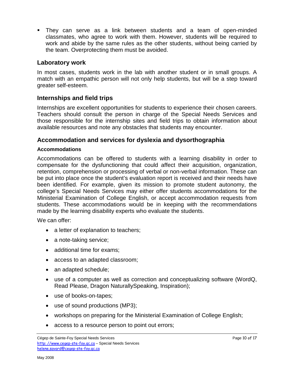They can serve as a link between students and a team of open-minded classmates, who agree to work with them. However, students will be required to work and abide by the same rules as the other students, without being carried by the team. Overprotecting them must be avoided.

## <span id="page-9-0"></span>**Laboratory work**

In most cases, students work in the lab with another student or in small groups. A match with an empathic person will not only help students, but will be a step toward greater self-esteem.

# <span id="page-9-1"></span>**Internships and field trips**

Internships are excellent opportunities for students to experience their chosen careers. Teachers should consult the person in charge of the Special Needs Services and those responsible for the internship sites and field trips to obtain information about available resources and note any obstacles that students may encounter.

## <span id="page-9-2"></span>**Accommodation and services for dyslexia and dysorthographia**

### **Accommodations**

Accommodations can be offered to students with a learning disability in order to compensate for the dysfunctioning that could affect their acquisition, organization, retention, comprehension or processing of verbal or non-verbal information. These can be put into place once the student's evaluation report is received and their needs have been identified. For example, given its mission to promote student autonomy, the college's Special Needs Services may either offer students accommodations for the Ministerial Examination of College English, or accept accommodation requests from students. These accommodations would be in keeping with the recommendations made by the learning disability experts who evaluate the students.

We can offer:

- a letter of explanation to teachers;
- a note-taking service;
- additional time for exams:
- access to an adapted classroom;
- an adapted schedule;
- use of a computer as well as correction and conceptualizing software (WordQ, Read Please, Dragon NaturallySpeaking, Inspiration);
- use of books-on-tapes;
- use of sound productions (MP3);
- workshops on preparing for the Ministerial Examination of College English;
- access to a resource person to point out errors;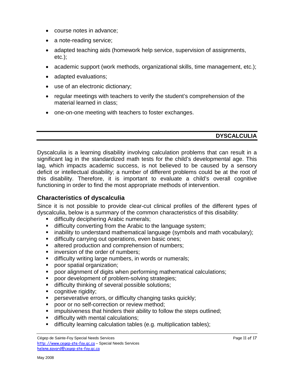- course notes in advance;
- a note-reading service;
- adapted teaching aids (homework help service, supervision of assignments,  $etc.$ );
- academic support (work methods, organizational skills, time management, etc.);
- adapted evaluations;
- use of an electronic dictionary;
- regular meetings with teachers to verify the student's comprehension of the material learned in class;
- <span id="page-10-0"></span>• one-on-one meeting with teachers to foster exchanges.

## **DYSCALCULIA**

Dyscalculia is a learning disability involving calculation problems that can result in a significant lag in the standardized math tests for the child's developmental age. This lag, which impacts academic success, is not believed to be caused by a sensory deficit or intellectual disability; a number of different problems could be at the root of this disability. Therefore, it is important to evaluate a child's overall cognitive functioning in order to find the most appropriate methods of intervention.

## <span id="page-10-1"></span>**Characteristics of dyscalculia**

Since it is not possible to provide clear-cut clinical profiles of the different types of dyscalculia, below is a summary of the common characteristics of this disability:

- **difficulty deciphering Arabic numerals;**
- **difficulty converting from the Arabic to the language system;**
- **EXT** inability to understand mathematical language (symbols and math vocabulary);
- difficulty carrying out operations, even basic ones;
- **altered production and comprehension of numbers;**
- **i** inversion of the order of numbers;
- **difficulty writing large numbers, in words or numerals;**
- **poor spatial organization;**
- poor alignment of digits when performing mathematical calculations;
- **poor development of problem-solving strategies;**
- **difficulty thinking of several possible solutions;**
- **cognitive rigidity;**
- **Perseverative errors, or difficulty changing tasks quickly;**
- **PEDOCE OF THE POOT OF THE POOT OF THE POOT OF THE POOT**
- **EXEDER** impulsiveness that hinders their ability to follow the steps outlined;
- difficulty with mental calculations;
- difficulty learning calculation tables (e.g. multiplication tables);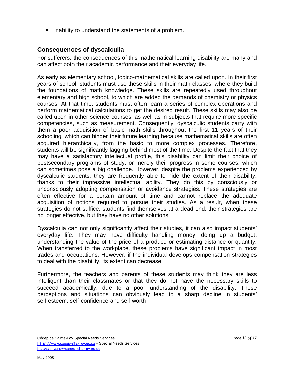**E** inability to understand the statements of a problem.

# <span id="page-11-0"></span>**Consequences of dyscalculia**

For sufferers, the consequences of this mathematical learning disability are many and can affect both their academic performance and their everyday life.

As early as elementary school, logico-mathematical skills are called upon. In their first years of school, students must use these skills in their math classes, where they build the foundations of math knowledge. These skills are repeatedly used throughout elementary and high school, to which are added the demands of chemistry or physics courses. At that time, students must often learn a series of complex operations and perform mathematical calculations to get the desired result. These skills may also be called upon in other science courses, as well as in subjects that require more specific competencies, such as measurement. Consequently, dyscalculic students carry with them a poor acquisition of basic math skills throughout the first 11 years of their schooling, which can hinder their future learning because mathematical skills are often acquired hierarchically, from the basic to more complex processes. Therefore, students will be significantly lagging behind most of the time. Despite the fact that they may have a satisfactory intellectual profile, this disability can limit their choice of postsecondary programs of study, or merely their progress in some courses, which can sometimes pose a big challenge. However, despite the problems experienced by dyscalculic students, they are frequently able to hide the extent of their disability, thanks to their impressive intellectual ability. They do this by consciously or unconsciously adopting compensation or avoidance strategies. These strategies are often effective for a certain amount of time and cannot replace the adequate acquisition of notions required to pursue their studies. As a result, when these strategies do not suffice, students find themselves at a dead end: their strategies are no longer effective, but they have no other solutions.

Dyscalculia can not only significantly affect their studies, it can also impact students' everyday life. They may have difficulty handling money, doing up a budget, understanding the value of the price of a product, or estimating distance or quantity. When transferred to the workplace, these problems have significant impact in most trades and occupations. However, if the individual develops compensation strategies to deal with the disability, its extent can decrease.

Furthermore, the teachers and parents of these students may think they are less intelligent than their classmates or that they do not have the necessary skills to succeed academically, due to a poor understanding of the disability. These perceptions and situations can obviously lead to a sharp decline in students' self-esteem, self-confidence and self-worth.

Cégep de Sainte-Foy Special Needs Services **Page 12 of 17** and 2011 12 of 17 and 2012 12 of 17 [http: //www.cegep-ste-foy.qc.ca](http://www.cegep-ste-foy.qc.ca/) – Special Needs Services [helene.savard@cegep-ste-foy.qc.ca](mailto:hsavard@cegep-ste-foy.qclca)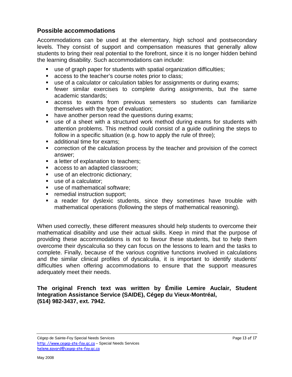## <span id="page-12-0"></span>**Possible accommodations**

Accommodations can be used at the elementary, high school and postsecondary levels. They consist of support and compensation measures that generally allow students to bring their real potential to the forefront, since it is no longer hidden behind the learning disability. Such accommodations can include:

- use of graph paper for students with spatial organization difficulties;
- **access to the teacher's course notes prior to class;**
- use of a calculator or calculation tables for assignments or during exams;
- fewer similar exercises to complete during assignments, but the same academic standards;
- access to exams from previous semesters so students can familiarize themselves with the type of evaluation;
- have another person read the questions during exams;
- use of a sheet with a structured work method during exams for students with attention problems. This method could consist of a guide outlining the steps to follow in a specific situation (e.g. how to apply the rule of three);
- additional time for exams;
- correction of the calculation process by the teacher and provision of the correct answer;
- a letter of explanation to teachers;
- **access to an adapted classroom:**
- use of an electronic dictionary;
- use of a calculator;
- use of mathematical software;
- **Fig. 5** remedial instruction support;
- **a** reader for dyslexic students, since they sometimes have trouble with mathematical operations (following the steps of mathematical reasoning).

When used correctly, these different measures should help students to overcome their mathematical disability and use their actual skills. Keep in mind that the purpose of providing these accommodations is not to favour these students, but to help them overcome their dyscalculia so they can focus on the lessons to learn and the tasks to complete. Finally, because of the various cognitive functions involved in calculations and the similar clinical profiles of dyscalculia, it is important to identify students' difficulties when offering accommodations to ensure that the support measures adequately meet their needs.

**The original French text was written by Émilie Lemire Auclair, Student Integration Assistance Service (SAIDE), Cégep du Vieux-Montréal, (514) 982-3437, ext. 7942.**

Cégep de Sainte-Foy Special Needs Services **Page 13 of 17** and 2011 12 of 17 and 2012 13 of 17 [http: //www.cegep-ste-foy.qc.ca](http://www.cegep-ste-foy.qc.ca/) – Special Needs Services [helene.savard@cegep-ste-foy.qc.ca](mailto:hsavard@cegep-ste-foy.qclca)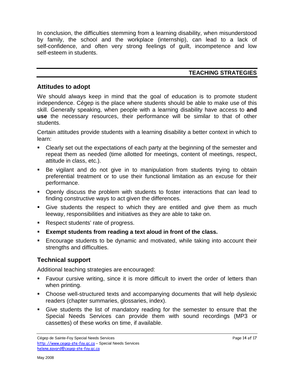In conclusion, the difficulties stemming from a learning disability, when misunderstood by family, the school and the workplace (internship), can lead to a lack of self-confidence, and often very strong feelings of guilt, incompetence and low self-esteem in students.

## **TEACHING STRATEGIES**

#### <span id="page-13-1"></span><span id="page-13-0"></span>**Attitudes to adopt**

We should always keep in mind that the goal of education is to promote student independence. Cégep is the place where students should be able to make use of this skill. Generally speaking, when people with a learning disability have access to **and use** the necessary resources, their performance will be similar to that of other students.

Certain attitudes provide students with a learning disability a better context in which to learn:

- Clearly set out the expectations of each party at the beginning of the semester and repeat them as needed (time allotted for meetings, content of meetings, respect, attitude in class, etc.).
- Be vigilant and do not give in to manipulation from students trying to obtain preferential treatment or to use their functional limitation as an excuse for their performance.
- **•** Openly discuss the problem with students to foster interactions that can lead to finding constructive ways to act given the differences.
- Give students the respect to which they are entitled and give them as much leeway, responsibilities and initiatives as they are able to take on.
- Respect students' rate of progress.
- **Exempt students from reading a text aloud in front of the class.**
- **Encourage students to be dynamic and motivated, while taking into account their** strengths and difficulties.

# <span id="page-13-2"></span>**Technical support**

Additional teaching strategies are encouraged:

- Favour cursive writing, since it is more difficult to invert the order of letters than when printing.
- Choose well-structured texts and accompanying documents that will help dyslexic readers (chapter summaries, glossaries, index).
- Give students the list of mandatory reading for the semester to ensure that the Special Needs Services can provide them with sound recordings (MP3 or cassettes) of these works on time, if available.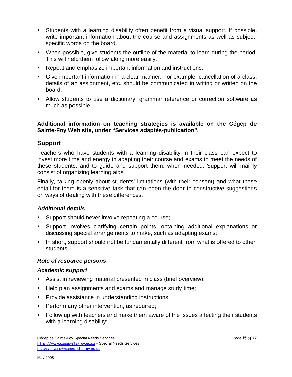- Students with a learning disability often benefit from a visual support. If possible, write important information about the course and assignments as well as subjectspecific words on the board.
- When possible, give students the outline of the material to learn during the period. This will help them follow along more easily.
- Repeat and emphasize important information and instructions.
- Give important information in a clear manner. For example, cancellation of a class, details of an assignment, etc. should be communicated in writing or written on the board.
- Allow students to use a dictionary, grammar reference or correction software as much as possible.

#### **Additional information on teaching strategies is available on the Cégep de Sainte-Foy Web site, under "Services adaptés-publication".**

## <span id="page-14-0"></span>**Support**

Teachers who have students with a learning disability in their class can expect to invest more time and energy in adapting their course and exams to meet the needs of these students, and to guide and support them, when needed. Support will mainly consist of organizing learning aids.

Finally, talking openly about students' limitations (with their consent) and what these entail for them is a sensitive task that can open the door to constructive suggestions on ways of dealing with these differences.

#### *Additional details*

- Support should never involve repeating a course;
- Support involves clarifying certain points, obtaining additional explanations or discussing special arrangements to make, such as adapting exams;
- In short, support should not be fundamentally different from what is offered to other students.

#### <span id="page-14-1"></span>*Role of resource persons*

#### *Academic support*

- Assist in reviewing material presented in class (brief overview);
- Help plan assignments and exams and manage study time;
- **Provide assistance in understanding instructions;**
- **Perform any other intervention, as required;**
- Follow up with teachers and make them aware of the issues affecting their students with a learning disability;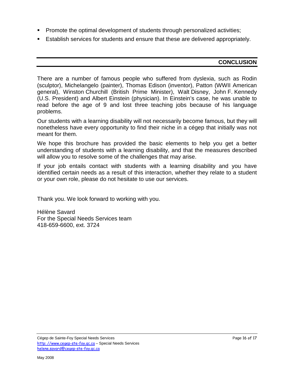- **Promote the optimal development of students through personalized activities;**
- <span id="page-15-0"></span>**Establish services for students and ensure that these are delivered appropriately.**

#### **CONCLUSION**

There are a number of famous people who suffered from dyslexia, such as Rodin (sculptor), Michelangelo (painter), Thomas Edison (inventor), Patton (WWII American general), Winston Churchill (British Prime Minister), Walt Disney, John F. Kennedy (U.S. President) and Albert Einstein (physician). In Einstein's case, he was unable to read before the age of 9 and lost three teaching jobs because of his language problems.

Our students with a learning disability will not necessarily become famous, but they will nonetheless have every opportunity to find their niche in a cégep that initially was not meant for them.

We hope this brochure has provided the basic elements to help you get a better understanding of students with a learning disability, and that the measures described will allow you to resolve some of the challenges that may arise.

If your job entails contact with students with a learning disability and you have identified certain needs as a result of this interaction, whether they relate to a student or your own role, please do not hesitate to use our services.

Thank you. We look forward to working with you.

Hélène Savard For the Special Needs Services team 418-659-6600, ext. 3724